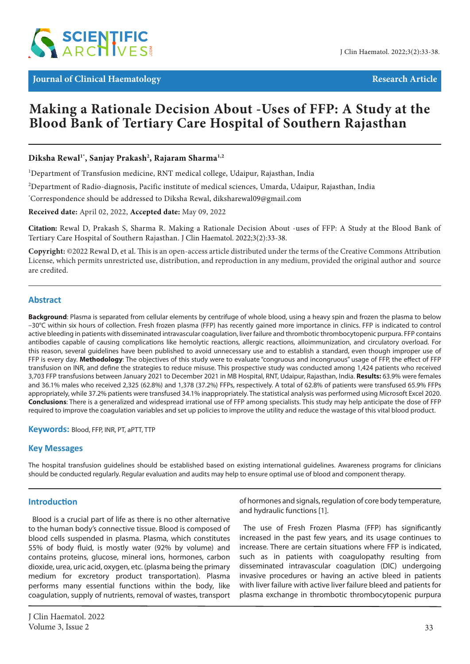

**Journal of Clinical Haematology Research Article Research Article** 

# **Making a Rationale Decision About -Uses of FFP: A Study at the Blood Bank of Tertiary Care Hospital of Southern Rajasthan**

# **Diksha Rewal1\*, Sanjay Prakash2 , Rajaram Sharma1,2**

<sup>1</sup>Department of Transfusion medicine, RNT medical college, Udaipur, Rajasthan, India

 $^2$ Department of Radio-diagnosis, Pacific institute of medical sciences, Umarda, Udaipur, Rajasthan, India

\* Correspondence should be addressed to Diksha Rewal, diksharewal09@gmail.com

**Received date:** April 02, 2022, **Accepted date:** May 09, 2022

**Citation:** Rewal D, Prakash S, Sharma R. Making a Rationale Decision About -uses of FFP: A Study at the Blood Bank of Tertiary Care Hospital of Southern Rajasthan. J Clin Haematol. 2022;3(2):33-38.

**Copyright:** ©2022 Rewal D, et al. This is an open-access article distributed under the terms of the Creative Commons Attribution License, which permits unrestricted use, distribution, and reproduction in any medium, provided the original author and source are credited.

### **Abstract**

**Background**: Plasma is separated from cellular elements by centrifuge of whole blood, using a heavy spin and frozen the plasma to below –30°C within six hours of collection. Fresh frozen plasma (FFP) has recently gained more importance in clinics. FFP is indicated to control active bleeding in patients with disseminated intravascular coagulation, liver failure and thrombotic thrombocytopenic purpura. FFP contains antibodies capable of causing complications like hemolytic reactions, allergic reactions, alloimmunization, and circulatory overload. For this reason, several guidelines have been published to avoid unnecessary use and to establish a standard, even though improper use of FFP is every day. **Methodology**: The objectives of this study were to evaluate "congruous and incongruous" usage of FFP, the effect of FFP transfusion on INR, and define the strategies to reduce misuse. This prospective study was conducted among 1,424 patients who received 3,703 FFP transfusions between January 2021 to December 2021 in MB Hospital, RNT, Udaipur, Rajasthan, India. **Results:** 63.9% were females and 36.1% males who received 2,325 (62.8%) and 1,378 (37.2%) FFPs, respectively. A total of 62.8% of patients were transfused 65.9% FFPs appropriately, while 37.2% patients were transfused 34.1% inappropriately. The statistical analysis was performed using Microsoft Excel 2020. **Conclusions**: There is a generalized and widespread irrational use of FFP among specialists. This study may help anticipate the dose of FFP required to improve the coagulation variables and set up policies to improve the utility and reduce the wastage of this vital blood product.

**Keywords:** Blood, FFP, INR, PT, aPTT, TTP

### **Key Messages**

The hospital transfusion guidelines should be established based on existing international guidelines. Awareness programs for clinicians should be conducted regularly. Regular evaluation and audits may help to ensure optimal use of blood and component therapy.

### **Introduction**

Blood is a crucial part of life as there is no other alternative to the human body's connective tissue. Blood is composed of blood cells suspended in plasma. Plasma, which constitutes 55% of body fluid, is mostly water (92% by volume) and contains proteins, glucose, mineral ions, hormones, carbon dioxide, urea, uric acid, oxygen, etc. (plasma being the primary medium for excretory product transportation). Plasma performs many essential functions within the body, like coagulation, supply of nutrients, removal of wastes, transport of hormones and signals, regulation of core body temperature, and hydraulic functions [1].

The use of Fresh Frozen Plasma (FFP) has significantly increased in the past few years, and its usage continues to increase. There are certain situations where FFP is indicated, such as in patients with coagulopathy resulting from disseminated intravascular coagulation (DIC) undergoing invasive procedures or having an active bleed in patients with liver failure with active liver failure bleed and patients for plasma exchange in thrombotic thrombocytopenic purpura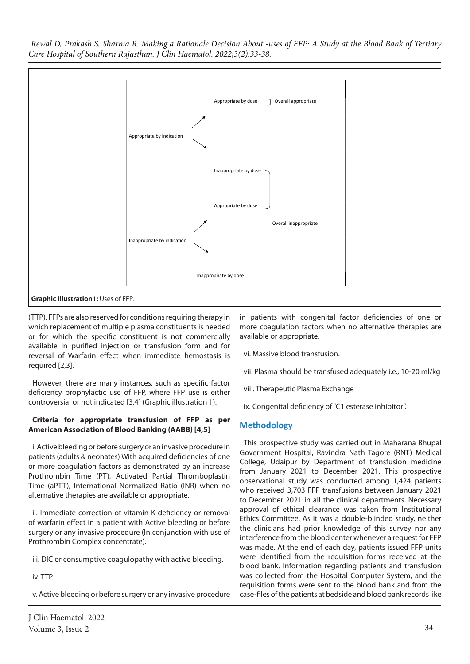

(TTP). FFPs are also reserved for conditions requiring therapy in which replacement of multiple plasma constituents is needed or for which the specific constituent is not commercially available in purified injection or transfusion form and for reversal of Warfarin effect when immediate hemostasis is required [2,3].

However, there are many instances, such as specific factor deficiency prophylactic use of FFP, where FFP use is either controversial or not indicated [3,4] (Graphic illustration 1).

## **Criteria for appropriate transfusion of FFP as per American Association of Blood Banking (AABB) [4,5]**

i. Active bleeding or before surgery or an invasive procedure in patients (adults & neonates) With acquired deficiencies of one or more coagulation factors as demonstrated by an increase Prothrombin Time (PT), Activated Partial Thromboplastin Time (aPTT), International Normalized Ratio (INR) when no alternative therapies are available or appropriate.

ii. Immediate correction of vitamin K deficiency or removal of warfarin effect in a patient with Active bleeding or before surgery or any invasive procedure (In conjunction with use of Prothrombin Complex concentrate).

iii. DIC or consumptive coagulopathy with active bleeding.

iv. TTP.

v. Active bleeding or before surgery or any invasive procedure

in patients with congenital factor deficiencies of one or more coagulation factors when no alternative therapies are available or appropriate.

- vi. Massive blood transfusion.
- vii. Plasma should be transfused adequately i.e., 10-20 ml/kg
- viii. Therapeutic Plasma Exchange
- ix. Congenital deficiency of "C1 esterase inhibitor".

# **Methodology**

This prospective study was carried out in Maharana Bhupal Government Hospital, Ravindra Nath Tagore (RNT) Medical College, Udaipur by Department of transfusion medicine from January 2021 to December 2021. This prospective observational study was conducted among 1,424 patients who received 3,703 FFP transfusions between January 2021 to December 2021 in all the clinical departments. Necessary approval of ethical clearance was taken from Institutional Ethics Committee. As it was a double-blinded study, neither the clinicians had prior knowledge of this survey nor any interference from the blood center whenever a request for FFP was made. At the end of each day, patients issued FFP units were identified from the requisition forms received at the blood bank. Information regarding patients and transfusion was collected from the Hospital Computer System, and the requisition forms were sent to the blood bank and from the case-files of the patients at bedside and blood bank records like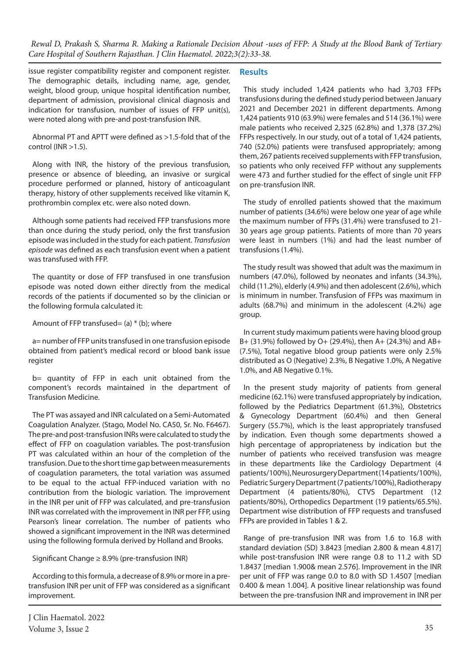issue register compatibility register and component register. The demographic details, including name, age, gender, weight, blood group, unique hospital identification number, department of admission, provisional clinical diagnosis and indication for transfusion, number of issues of FFP unit(s), were noted along with pre-and post-transfusion INR.

Abnormal PT and APTT were defined as >1.5-fold that of the control (INR >1.5).

Along with INR, the history of the previous transfusion, presence or absence of bleeding, an invasive or surgical procedure performed or planned, history of anticoagulant therapy, history of other supplements received like vitamin K, prothrombin complex etc. were also noted down.

Although some patients had received FFP transfusions more than once during the study period, only the first transfusion episode was included in the study for each patient. *Transfusion episode* was defined as each transfusion event when a patient was transfused with FFP.

The quantity or dose of FFP transfused in one transfusion episode was noted down either directly from the medical records of the patients if documented so by the clinician or the following formula calculated it:

Amount of FFP transfused= (a)  $*$  (b); where

a= number of FFP units transfused in one transfusion episode obtained from patient's medical record or blood bank issue register

b= quantity of FFP in each unit obtained from the component's records maintained in the department of Transfusion Medicine.

The PT was assayed and INR calculated on a Semi-Automated Coagulation Analyzer. (Stago, Model No. CA50, Sr. No. F6467). The pre-and post-transfusion INRs were calculated to study the effect of FFP on coagulation variables. The post-transfusion PT was calculated within an hour of the completion of the transfusion. Due to the short time gap between measurements of coagulation parameters, the total variation was assumed to be equal to the actual FFP-induced variation with no contribution from the biologic variation. The improvement in the INR per unit of FFP was calculated, and pre-transfusion INR was correlated with the improvement in INR per FFP, using Pearson's linear correlation. The number of patients who showed a significant improvement in the INR was determined using the following formula derived by Holland and Brooks.

Significant Change ≥ 8.9% (pre-transfusion INR)

According to this formula, a decrease of 8.9% or more in a pretransfusion INR per unit of FFP was considered as a significant improvement.

# **Results**

This study included 1,424 patients who had 3,703 FFPs transfusions during the defined study period between January 2021 and December 2021 in different departments. Among 1,424 patients 910 (63.9%) were females and 514 (36.1%) were male patients who received 2,325 (62.8%) and 1,378 (37.2%) FFPs respectively. In our study, out of a total of 1,424 patients, 740 (52.0%) patients were transfused appropriately; among them, 267 patients received supplements with FFP transfusion, so patients who only received FFP without any supplements were 473 and further studied for the effect of single unit FFP on pre-transfusion INR.

The study of enrolled patients showed that the maximum number of patients (34.6%) were below one year of age while the maximum number of FFPs (31.4%) were transfused to 21- 30 years age group patients. Patients of more than 70 years were least in numbers (1%) and had the least number of transfusions (1.4%).

The study result was showed that adult was the maximum in numbers (47.0%), followed by neonates and infants (34.3%), child (11.2%), elderly (4.9%) and then adolescent (2.6%), which is minimum in number. Transfusion of FFPs was maximum in adults (68.7%) and minimum in the adolescent (4.2%) age group.

In current study maximum patients were having blood group B+ (31.9%) followed by O+ (29.4%), then A+ (24.3%) and AB+ (7.5%), Total negative blood group patients were only 2.5% distributed as O (Negative) 2.3%, B Negative 1.0%, A Negative 1.0%, and AB Negative 0.1%.

In the present study majority of patients from general medicine (62.1%) were transfused appropriately by indication, followed by the Pediatrics Department (61.3%), Obstetrics & Gynecology Department (60.4%) and then General Surgery (55.7%), which is the least appropriately transfused by indication. Even though some departments showed a high percentage of appropriateness by indication but the number of patients who received transfusion was meagre in these departments like the Cardiology Department (4 patients/100%), Neurosurgery Department (14 patients/100%), Pediatric Surgery Department (7 patients/100%), Radiotherapy Department (4 patients/80%), CTVS Department (12 patients/80%), Orthopedics Department (19 patients/65.5%). Department wise distribution of FFP requests and transfused FFPs are provided in Tables 1 & 2.

Range of pre-transfusion INR was from 1.6 to 16.8 with standard deviation (SD) 3.8423 [median 2.800 & mean 4.817] while post-transfusion INR were range 0.8 to 11.2 with SD 1.8437 [median 1.900& mean 2.576]. Improvement in the INR per unit of FFP was range 0.0 to 8.0 with SD 1.4507 [median 0.400 & mean 1.004]. A positive linear relationship was found between the pre-transfusion INR and improvement in INR per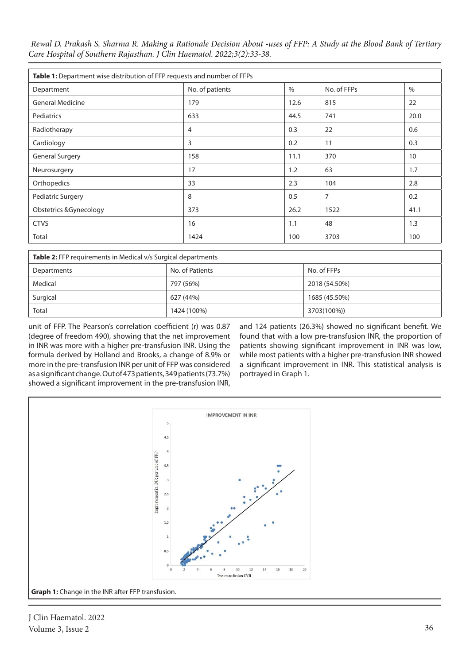| Table 1: Department wise distribution of FFP requests and number of FFPs |                 |      |                |               |  |  |
|--------------------------------------------------------------------------|-----------------|------|----------------|---------------|--|--|
| Department                                                               | No. of patients | $\%$ | No. of FFPs    | $\frac{0}{0}$ |  |  |
| <b>General Medicine</b>                                                  | 179             | 12.6 | 815            | 22            |  |  |
| Pediatrics                                                               | 633             | 44.5 | 741            | 20.0          |  |  |
| Radiotherapy                                                             | 4               | 0.3  | 22             | 0.6           |  |  |
| Cardiology                                                               | 3               | 0.2  | 11             | 0.3           |  |  |
| <b>General Surgery</b>                                                   | 158             | 11.1 | 370            | 10            |  |  |
| Neurosurgery                                                             | 17              | 1.2  | 63             | 1.7           |  |  |
| Orthopedics                                                              | 33              | 2.3  | 104            | 2.8           |  |  |
| Pediatric Surgery                                                        | 8               | 0.5  | $\overline{7}$ | 0.2           |  |  |
| <b>Obstetrics &amp;Gynecology</b>                                        | 373             | 26.2 | 1522           | 41.1          |  |  |
| <b>CTVS</b>                                                              | 16              | 1.1  | 48             | 1.3           |  |  |
| Total                                                                    | 1424            | 100  | 3703           | 100           |  |  |

| <b>Table 2:</b> FFP requirements in Medical v/s Surgical departments |                 |               |  |  |  |
|----------------------------------------------------------------------|-----------------|---------------|--|--|--|
| Departments                                                          | No. of Patients | No. of FFPs   |  |  |  |
| Medical                                                              | 797 (56%)       | 2018 (54.50%) |  |  |  |
| Surgical                                                             | 627 (44%)       | 1685 (45.50%) |  |  |  |
| Total                                                                | 1424 (100%)     | 3703(100%))   |  |  |  |

unit of FFP. The Pearson's correlation coefficient (r) was 0.87 (degree of freedom 490), showing that the net improvement in INR was more with a higher pre-transfusion INR. Using the formula derived by Holland and Brooks, a change of 8.9% or more in the pre-transfusion INR per unit of FFP was considered as a significant change. Out of 473 patients, 349 patients (73.7%) showed a significant improvement in the pre-transfusion INR,

and 124 patients (26.3%) showed no significant benefit. We found that with a low pre-transfusion INR, the proportion of patients showing significant improvement in INR was low, while most patients with a higher pre-transfusion INR showed a significant improvement in INR. This statistical analysis is portrayed in Graph 1.



J Clin Haematol. 2022 Volume 3, Issue 2 36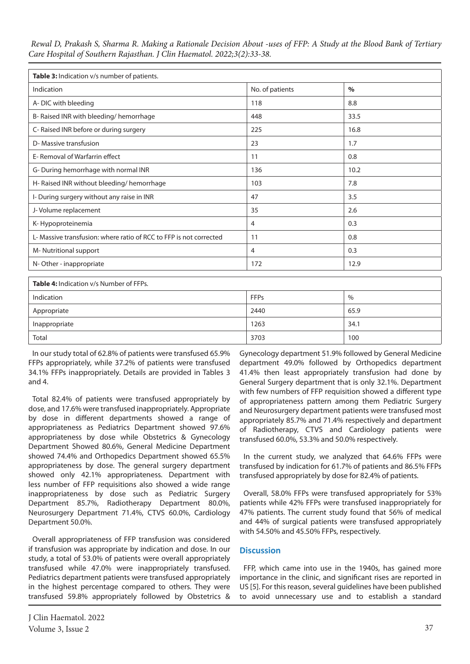| Table 3: Indication v/s number of patients.                        |                 |               |  |  |  |
|--------------------------------------------------------------------|-----------------|---------------|--|--|--|
| Indication                                                         | No. of patients | $\frac{0}{0}$ |  |  |  |
| A-DIC with bleeding                                                | 118             | 8.8           |  |  |  |
| B- Raised INR with bleeding/ hemorrhage                            | 448             | 33.5          |  |  |  |
| C- Raised INR before or during surgery                             | 225             | 16.8          |  |  |  |
| D- Massive transfusion                                             | 23              | 1.7           |  |  |  |
| E-Removal of Warfarrin effect                                      | 11              | 0.8           |  |  |  |
| G- During hemorrhage with normal INR                               | 136             | 10.2          |  |  |  |
| H-Raised INR without bleeding/hemorrhage                           | 103             | 7.8           |  |  |  |
| I-During surgery without any raise in INR                          | 47              | 3.5           |  |  |  |
| J-Volume replacement                                               | 35              | 2.6           |  |  |  |
| K-Hypoproteinemia                                                  | 4               | 0.3           |  |  |  |
| L- Massive transfusion: where ratio of RCC to FFP is not corrected | 11              | 0.8           |  |  |  |
| M-Nutritional support                                              | 4               | 0.3           |  |  |  |
| N-Other - inappropriate                                            | 172             | 12.9          |  |  |  |

| <b>Table 4:</b> Indication v/s Number of FFPs. |             |      |  |  |  |
|------------------------------------------------|-------------|------|--|--|--|
| Indication                                     | <b>FFPs</b> | $\%$ |  |  |  |
| Appropriate                                    | 2440        | 65.9 |  |  |  |
| Inappropriate                                  | 1263        | 34.1 |  |  |  |
| Total                                          | 3703        | 100  |  |  |  |

In our study total of 62.8% of patients were transfused 65.9% FFPs appropriately, while 37.2% of patients were transfused 34.1% FFPs inappropriately. Details are provided in Tables 3 and 4.

Total 82.4% of patients were transfused appropriately by dose, and 17.6% were transfused inappropriately. Appropriate by dose in different departments showed a range of appropriateness as Pediatrics Department showed 97.6% appropriateness by dose while Obstetrics & Gynecology Department Showed 80.6%, General Medicine Department showed 74.4% and Orthopedics Department showed 65.5% appropriateness by dose. The general surgery department showed only 42.1% appropriateness. Department with less number of FFP requisitions also showed a wide range inappropriateness by dose such as Pediatric Surgery Department 85.7%, Radiotherapy Department 80.0%, Neurosurgery Department 71.4%, CTVS 60.0%, Cardiology Department 50.0%.

Overall appropriateness of FFP transfusion was considered if transfusion was appropriate by indication and dose. In our study, a total of 53.0% of patients were overall appropriately transfused while 47.0% were inappropriately transfused. Pediatrics department patients were transfused appropriately in the highest percentage compared to others. They were transfused 59.8% appropriately followed by Obstetrics &

Gynecology department 51.9% followed by General Medicine department 49.0% followed by Orthopedics department 41.4% then least appropriately transfusion had done by General Surgery department that is only 32.1%. Department with few numbers of FFP requisition showed a different type of appropriateness pattern among them Pediatric Surgery and Neurosurgery department patients were transfused most appropriately 85.7% and 71.4% respectively and department of Radiotherapy, CTVS and Cardiology patients were transfused 60.0%, 53.3% and 50.0% respectively.

In the current study, we analyzed that 64.6% FFPs were transfused by indication for 61.7% of patients and 86.5% FFPs transfused appropriately by dose for 82.4% of patients.

Overall, 58.0% FFPs were transfused appropriately for 53% patients while 42% FFPs were transfused inappropriately for 47% patients. The current study found that 56% of medical and 44% of surgical patients were transfused appropriately with 54.50% and 45.50% FFPs, respectively.

# **Discussion**

FFP, which came into use in the 1940s, has gained more importance in the clinic, and significant rises are reported in US [5]. For this reason, several guidelines have been published to avoid unnecessary use and to establish a standard